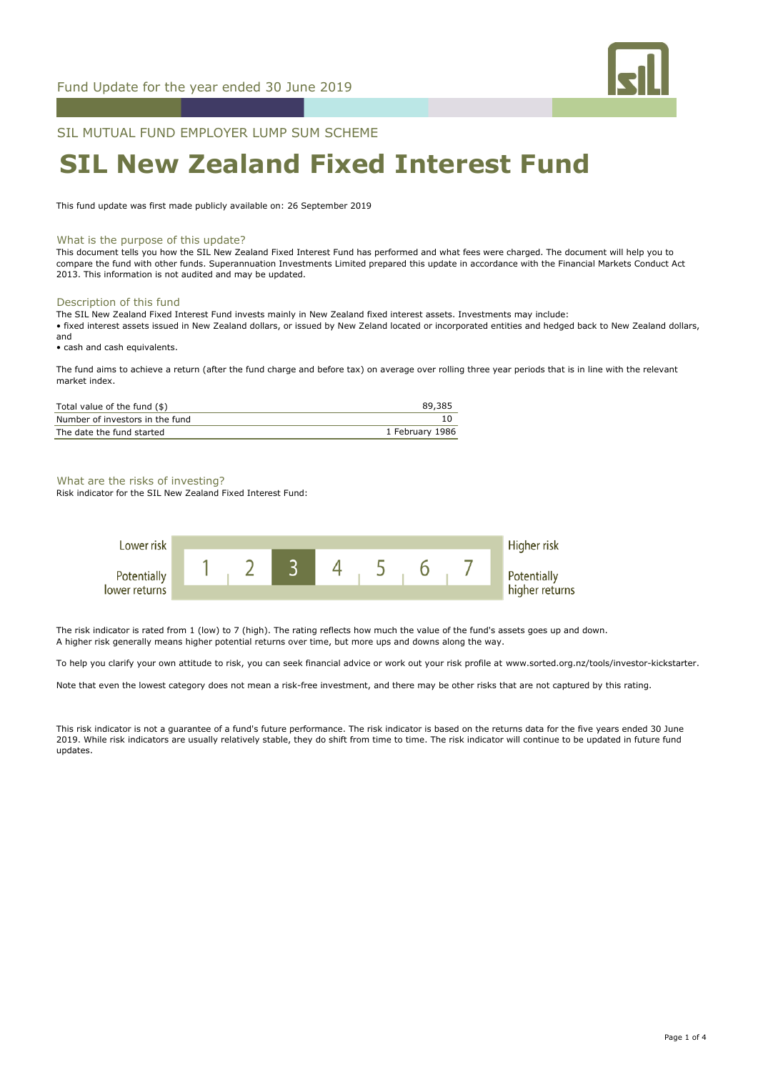

SIL MUTUAL FUND EMPLOYER LUMP SUM SCHEME

# **SIL New Zealand Fixed Interest Fund**

This fund update was first made publicly available on: 26 September 2019

#### What is the purpose of this update?

This document tells you how the SIL New Zealand Fixed Interest Fund has performed and what fees were charged. The document will help you to compare the fund with other funds. Superannuation Investments Limited prepared this update in accordance with the Financial Markets Conduct Act 2013. This information is not audited and may be updated.

# Description of this fund

The SIL New Zealand Fixed Interest Fund invests mainly in New Zealand fixed interest assets. Investments may include: • fixed interest assets issued in New Zealand dollars, or issued by New Zeland located or incorporated entities and hedged back to New Zealand dollars, and

• cash and cash equivalents.

The fund aims to achieve a return (after the fund charge and before tax) on average over rolling three year periods that is in line with the relevant market index.

| Total value of the fund (\$)    | 89,385          |
|---------------------------------|-----------------|
| Number of investors in the fund |                 |
| The date the fund started       | 1 February 1986 |

#### What are the risks of investing?

Risk indicator for the SIL New Zealand Fixed Interest Fund:



The risk indicator is rated from 1 (low) to 7 (high). The rating reflects how much the value of the fund's assets goes up and down. A higher risk generally means higher potential returns over time, but more ups and downs along the way.

To help you clarify your own attitude to risk, you can seek financial advice or work out your risk profile at www.sorted.org.nz/tools/investor-kickstarter.

Note that even the lowest category does not mean a risk-free investment, and there may be other risks that are not captured by this rating.

This risk indicator is not a guarantee of a fund's future performance. The risk indicator is based on the returns data for the five years ended 30 June 2019. While risk indicators are usually relatively stable, they do shift from time to time. The risk indicator will continue to be updated in future fund updates.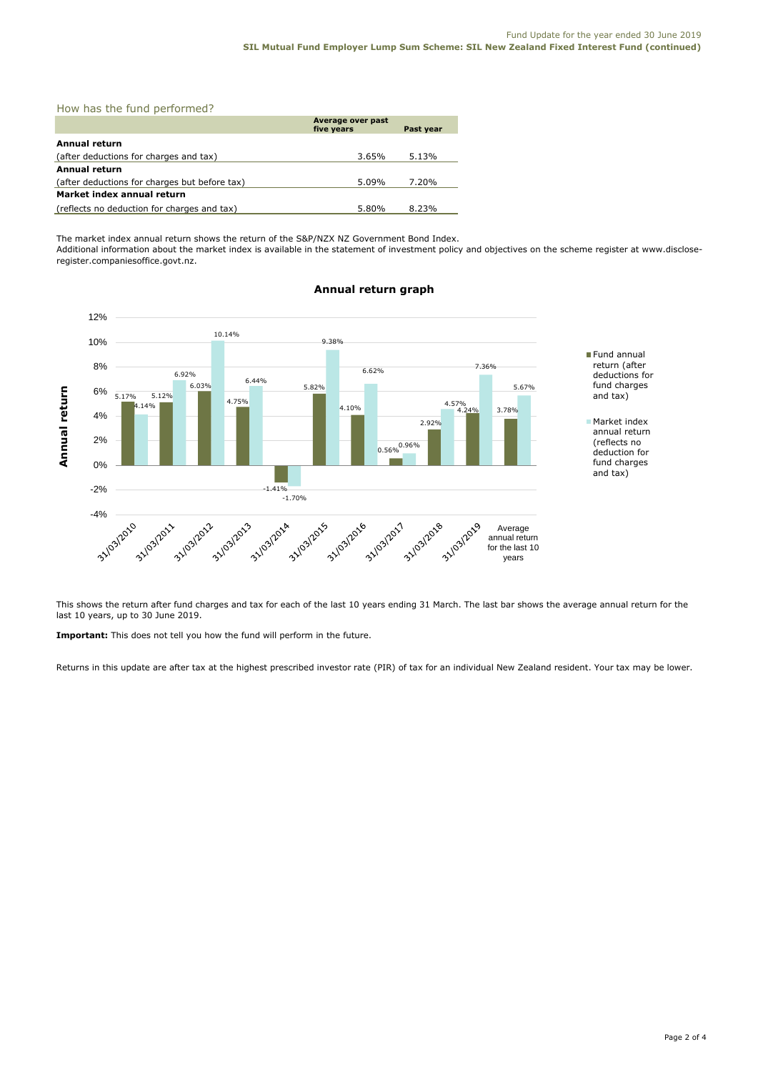|  |  |  |  | How has the fund performed? |  |
|--|--|--|--|-----------------------------|--|
|--|--|--|--|-----------------------------|--|

|                                               | Average over past<br>five years |       |  |  |
|-----------------------------------------------|---------------------------------|-------|--|--|
| Annual return                                 |                                 |       |  |  |
| (after deductions for charges and tax)        | 3.65%                           | 5.13% |  |  |
| <b>Annual return</b>                          |                                 |       |  |  |
| (after deductions for charges but before tax) | 5.09%                           | 7.20% |  |  |
| Market index annual return                    |                                 |       |  |  |
| (reflects no deduction for charges and tax)   | 5.80%                           | 8.23% |  |  |

The market index annual return shows the return of the S&P/NZX NZ Government Bond Index. Additional information about the market index is available in the statement of investment policy and objectives on the scheme register at www.discloseregister.companiesoffice.govt.nz.



# **Annual return graph**

This shows the return after fund charges and tax for each of the last 10 years ending 31 March. The last bar shows the average annual return for the last 10 years, up to 30 June 2019.

**Important:** This does not tell you how the fund will perform in the future.

Returns in this update are after tax at the highest prescribed investor rate (PIR) of tax for an individual New Zealand resident. Your tax may be lower.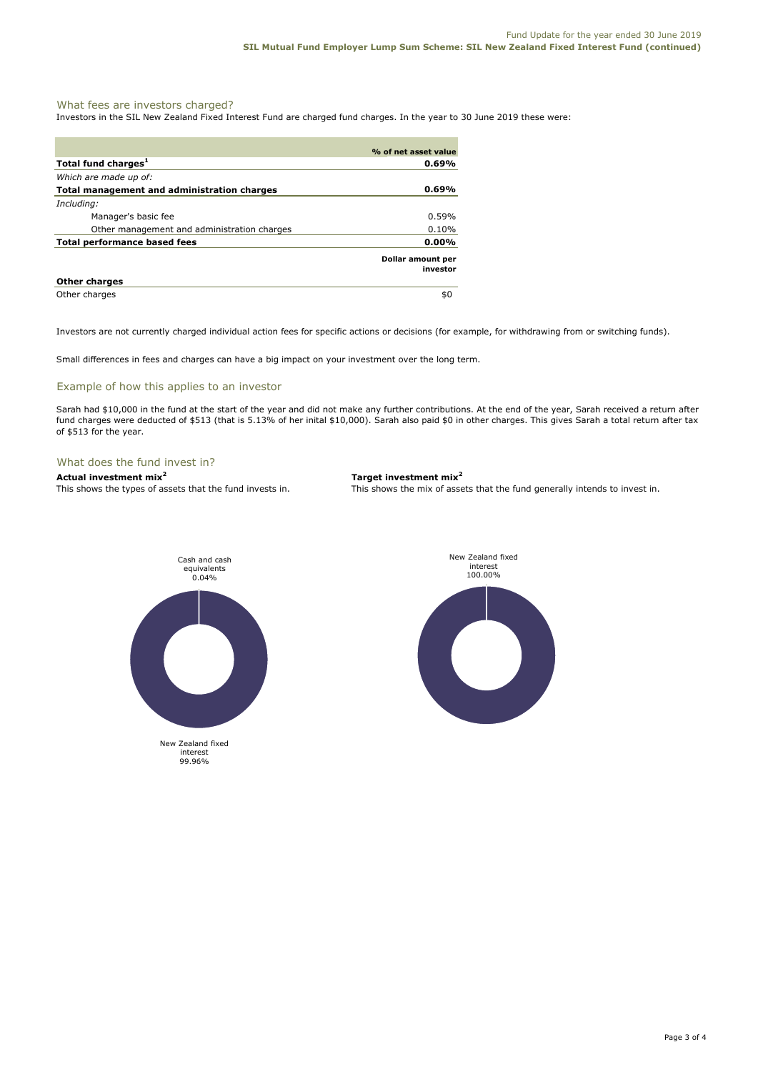# What fees are investors charged?

Investors in the SIL New Zealand Fixed Interest Fund are charged fund charges. In the year to 30 June 2019 these were:

|                                                    | % of net asset value          |
|----------------------------------------------------|-------------------------------|
| Total fund charges <sup>1</sup>                    | $0.69\%$                      |
| Which are made up of:                              |                               |
| <b>Total management and administration charges</b> | $0.69\%$                      |
| Including:                                         |                               |
| Manager's basic fee                                | $0.59\%$                      |
| Other management and administration charges        | 0.10%                         |
| Total performance based fees                       | $0.00\%$                      |
|                                                    | Dollar amount per<br>investor |
| <b>Other charges</b>                               |                               |
| Other charges                                      | \$0                           |

Investors are not currently charged individual action fees for specific actions or decisions (for example, for withdrawing from or switching funds).

Small differences in fees and charges can have a big impact on your investment over the long term.

# Example of how this applies to an investor

Sarah had \$10,000 in the fund at the start of the year and did not make any further contributions. At the end of the year, Sarah received a return after fund charges were deducted of \$513 (that is 5.13% of her inital \$10,000). Sarah also paid \$0 in other charges. This gives Sarah a total return after tax of \$513 for the year.

#### What does the fund invest in?

#### **Actual investment mix<sup>2</sup> Target investment mix<sup>2</sup>**

This shows the types of assets that the fund invests in. This shows the mix of assets that the fund generally intends to invest in.